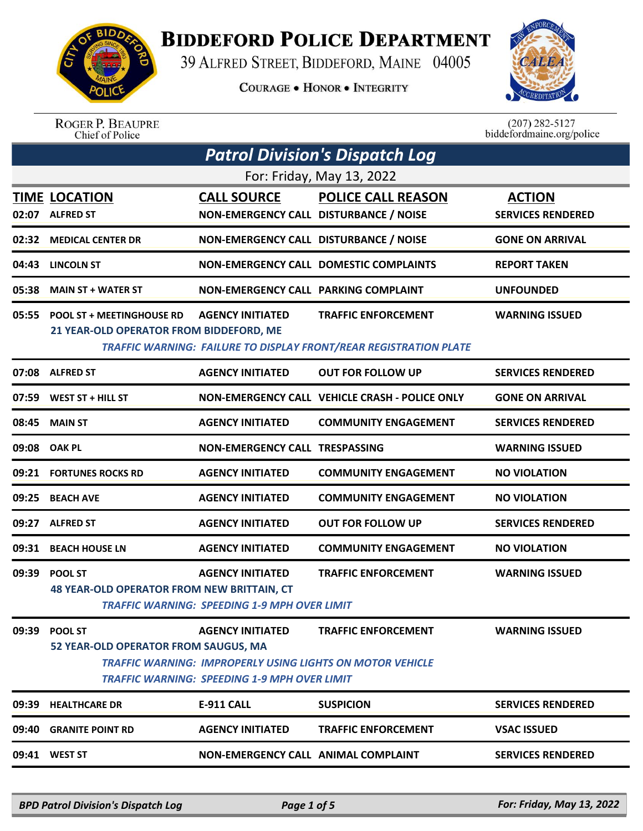

## **BIDDEFORD POLICE DEPARTMENT**

39 ALFRED STREET, BIDDEFORD, MAINE 04005

**COURAGE . HONOR . INTEGRITY** 



ROGER P. BEAUPRE<br>Chief of Police

 $(207)$  282-5127 biddefordmaine.org/police

|       | <b>Patrol Division's Dispatch Log</b>                                       |                                                                                                                                             |                                                                                                        |                                           |  |  |  |
|-------|-----------------------------------------------------------------------------|---------------------------------------------------------------------------------------------------------------------------------------------|--------------------------------------------------------------------------------------------------------|-------------------------------------------|--|--|--|
|       | For: Friday, May 13, 2022                                                   |                                                                                                                                             |                                                                                                        |                                           |  |  |  |
|       | <b>TIME LOCATION</b><br>02:07 ALFRED ST                                     | <b>CALL SOURCE</b><br>NON-EMERGENCY CALL DISTURBANCE / NOISE                                                                                | <b>POLICE CALL REASON</b>                                                                              | <b>ACTION</b><br><b>SERVICES RENDERED</b> |  |  |  |
| 02:32 | <b>MEDICAL CENTER DR</b>                                                    | NON-EMERGENCY CALL DISTURBANCE / NOISE                                                                                                      |                                                                                                        | <b>GONE ON ARRIVAL</b>                    |  |  |  |
| 04:43 | <b>LINCOLN ST</b>                                                           |                                                                                                                                             | <b>NON-EMERGENCY CALL DOMESTIC COMPLAINTS</b>                                                          | <b>REPORT TAKEN</b>                       |  |  |  |
| 05:38 | <b>MAIN ST + WATER ST</b>                                                   | <b>NON-EMERGENCY CALL PARKING COMPLAINT</b>                                                                                                 |                                                                                                        | <b>UNFOUNDED</b>                          |  |  |  |
| 05:55 | <b>POOL ST + MEETINGHOUSE RD</b><br>21 YEAR-OLD OPERATOR FROM BIDDEFORD, ME | <b>AGENCY INITIATED</b>                                                                                                                     | <b>TRAFFIC ENFORCEMENT</b><br><b>TRAFFIC WARNING: FAILURE TO DISPLAY FRONT/REAR REGISTRATION PLATE</b> | <b>WARNING ISSUED</b>                     |  |  |  |
| 07:08 | <b>ALFRED ST</b>                                                            | <b>AGENCY INITIATED</b>                                                                                                                     | <b>OUT FOR FOLLOW UP</b>                                                                               | <b>SERVICES RENDERED</b>                  |  |  |  |
| 07:59 | WEST ST + HILL ST                                                           |                                                                                                                                             | NON-EMERGENCY CALL VEHICLE CRASH - POLICE ONLY                                                         | <b>GONE ON ARRIVAL</b>                    |  |  |  |
| 08:45 | <b>MAIN ST</b>                                                              | <b>AGENCY INITIATED</b>                                                                                                                     | <b>COMMUNITY ENGAGEMENT</b>                                                                            | <b>SERVICES RENDERED</b>                  |  |  |  |
| 09:08 | <b>OAK PL</b>                                                               | NON-EMERGENCY CALL TRESPASSING                                                                                                              |                                                                                                        | <b>WARNING ISSUED</b>                     |  |  |  |
| 09:21 | <b>FORTUNES ROCKS RD</b>                                                    | <b>AGENCY INITIATED</b>                                                                                                                     | <b>COMMUNITY ENGAGEMENT</b>                                                                            | <b>NO VIOLATION</b>                       |  |  |  |
| 09:25 | <b>BEACH AVE</b>                                                            | <b>AGENCY INITIATED</b>                                                                                                                     | <b>COMMUNITY ENGAGEMENT</b>                                                                            | <b>NO VIOLATION</b>                       |  |  |  |
| 09:27 | <b>ALFRED ST</b>                                                            | <b>AGENCY INITIATED</b>                                                                                                                     | <b>OUT FOR FOLLOW UP</b>                                                                               | <b>SERVICES RENDERED</b>                  |  |  |  |
| 09:31 | <b>BEACH HOUSE LN</b>                                                       | <b>AGENCY INITIATED</b>                                                                                                                     | <b>COMMUNITY ENGAGEMENT</b>                                                                            | <b>NO VIOLATION</b>                       |  |  |  |
| 09:39 | <b>POOL ST</b><br><b>48 YEAR-OLD OPERATOR FROM NEW BRITTAIN, CT</b>         | <b>AGENCY INITIATED</b><br><b>TRAFFIC WARNING: SPEEDING 1-9 MPH OVER LIMIT</b>                                                              | <b>TRAFFIC ENFORCEMENT</b>                                                                             | <b>WARNING ISSUED</b>                     |  |  |  |
| 09:39 | <b>POOL ST</b><br>52 YEAR-OLD OPERATOR FROM SAUGUS, MA                      | <b>AGENCY INITIATED</b><br><b>TRAFFIC WARNING: IMPROPERLY USING LIGHTS ON MOTOR VEHICLE</b><br>TRAFFIC WARNING: SPEEDING 1-9 MPH OVER LIMIT | <b>TRAFFIC ENFORCEMENT</b>                                                                             | <b>WARNING ISSUED</b>                     |  |  |  |
|       | 09:39 HEALTHCARE DR                                                         | <b>E-911 CALL</b>                                                                                                                           | <b>SUSPICION</b>                                                                                       | <b>SERVICES RENDERED</b>                  |  |  |  |
|       | 09:40 GRANITE POINT RD                                                      | <b>AGENCY INITIATED</b>                                                                                                                     | <b>TRAFFIC ENFORCEMENT</b>                                                                             | <b>VSAC ISSUED</b>                        |  |  |  |
|       | 09:41 WEST ST                                                               | <b>NON-EMERGENCY CALL ANIMAL COMPLAINT</b>                                                                                                  |                                                                                                        | <b>SERVICES RENDERED</b>                  |  |  |  |

*BPD Patrol Division's Dispatch Log Page 1 of 5 For: Friday, May 13, 2022*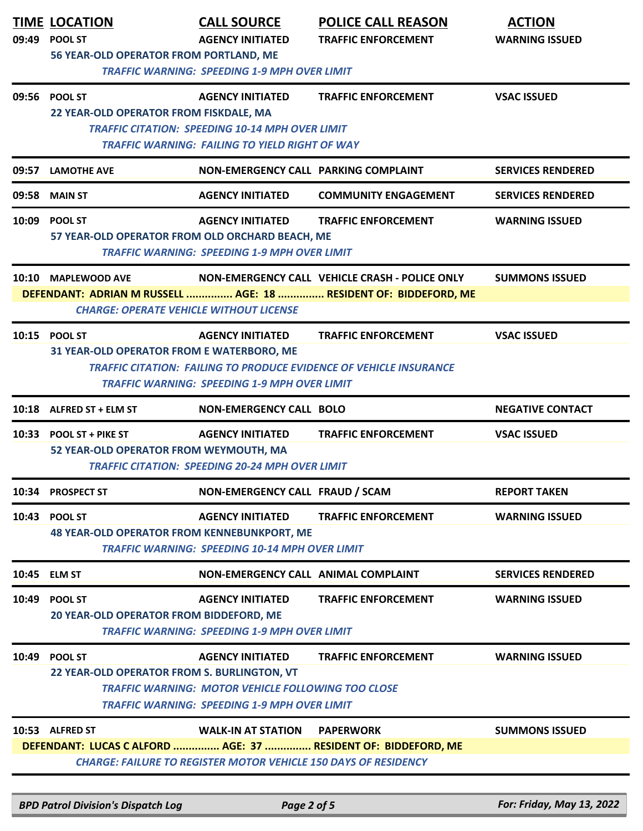|       | <b>TIME LOCATION</b><br>09:49 POOL ST                                 | <b>CALL SOURCE</b><br><b>AGENCY INITIATED</b>                                                                                               | <b>POLICE CALL REASON</b><br><b>TRAFFIC ENFORCEMENT</b>                                                            | <b>ACTION</b><br><b>WARNING ISSUED</b> |
|-------|-----------------------------------------------------------------------|---------------------------------------------------------------------------------------------------------------------------------------------|--------------------------------------------------------------------------------------------------------------------|----------------------------------------|
|       | 56 YEAR-OLD OPERATOR FROM PORTLAND, ME                                | <b>TRAFFIC WARNING: SPEEDING 1-9 MPH OVER LIMIT</b>                                                                                         |                                                                                                                    |                                        |
|       | 09:56 POOL ST<br>22 YEAR-OLD OPERATOR FROM FISKDALE, MA               | <b>AGENCY INITIATED</b><br><b>TRAFFIC CITATION: SPEEDING 10-14 MPH OVER LIMIT</b><br><b>TRAFFIC WARNING: FAILING TO YIELD RIGHT OF WAY</b>  | <b>TRAFFIC ENFORCEMENT</b>                                                                                         | <b>VSAC ISSUED</b>                     |
|       | 09:57 LAMOTHE AVE                                                     | NON-EMERGENCY CALL PARKING COMPLAINT                                                                                                        |                                                                                                                    | <b>SERVICES RENDERED</b>               |
|       | 09:58 MAIN ST                                                         | <b>AGENCY INITIATED</b>                                                                                                                     | <b>COMMUNITY ENGAGEMENT</b>                                                                                        | <b>SERVICES RENDERED</b>               |
|       | 10:09 POOL ST<br>57 YEAR-OLD OPERATOR FROM OLD ORCHARD BEACH, ME      | <b>AGENCY INITIATED</b><br><b>TRAFFIC WARNING: SPEEDING 1-9 MPH OVER LIMIT</b>                                                              | <b>TRAFFIC ENFORCEMENT</b>                                                                                         | <b>WARNING ISSUED</b>                  |
|       | 10:10 MAPLEWOOD AVE<br><b>CHARGE: OPERATE VEHICLE WITHOUT LICENSE</b> |                                                                                                                                             | NON-EMERGENCY CALL VEHICLE CRASH - POLICE ONLY<br>DEFENDANT: ADRIAN M RUSSELL  AGE: 18  RESIDENT OF: BIDDEFORD, ME | <b>SUMMONS ISSUED</b>                  |
|       | 10:15 POOL ST<br>31 YEAR-OLD OPERATOR FROM E WATERBORO, ME            | <b>AGENCY INITIATED</b><br><b>TRAFFIC WARNING: SPEEDING 1-9 MPH OVER LIMIT</b>                                                              | <b>TRAFFIC ENFORCEMENT</b><br><b>TRAFFIC CITATION: FAILING TO PRODUCE EVIDENCE OF VEHICLE INSURANCE</b>            | <b>VSAC ISSUED</b>                     |
|       | 10:18 ALFRED ST + ELM ST                                              | <b>NON-EMERGENCY CALL BOLO</b>                                                                                                              |                                                                                                                    | <b>NEGATIVE CONTACT</b>                |
|       | 10:33 POOL ST + PIKE ST<br>52 YEAR-OLD OPERATOR FROM WEYMOUTH, MA     | <b>AGENCY INITIATED</b><br><b>TRAFFIC CITATION: SPEEDING 20-24 MPH OVER LIMIT</b>                                                           | <b>TRAFFIC ENFORCEMENT</b>                                                                                         | <b>VSAC ISSUED</b>                     |
|       | 10:34 PROSPECT ST                                                     | NON-EMERGENCY CALL FRAUD / SCAM                                                                                                             |                                                                                                                    | <b>REPORT TAKEN</b>                    |
|       | 10:43 POOL ST<br><b>48 YEAR-OLD OPERATOR FROM KENNEBUNKPORT, ME</b>   | <b>AGENCY INITIATED</b><br><b>TRAFFIC WARNING: SPEEDING 10-14 MPH OVER LIMIT</b>                                                            | <b>TRAFFIC ENFORCEMENT</b>                                                                                         | <b>WARNING ISSUED</b>                  |
|       | 10:45 ELM ST                                                          | NON-EMERGENCY CALL ANIMAL COMPLAINT                                                                                                         |                                                                                                                    | <b>SERVICES RENDERED</b>               |
| 10:49 | <b>POOL ST</b><br>20 YEAR-OLD OPERATOR FROM BIDDEFORD, ME             | <b>AGENCY INITIATED</b><br><b>TRAFFIC WARNING: SPEEDING 1-9 MPH OVER LIMIT</b>                                                              | <b>TRAFFIC ENFORCEMENT</b>                                                                                         | <b>WARNING ISSUED</b>                  |
|       | 10:49 POOL ST<br>22 YEAR-OLD OPERATOR FROM S. BURLINGTON, VT          | <b>AGENCY INITIATED</b><br><b>TRAFFIC WARNING: MOTOR VEHICLE FOLLOWING TOO CLOSE</b><br><b>TRAFFIC WARNING: SPEEDING 1-9 MPH OVER LIMIT</b> | <b>TRAFFIC ENFORCEMENT</b>                                                                                         | <b>WARNING ISSUED</b>                  |
|       | 10:53 ALFRED ST                                                       | <b>WALK-IN AT STATION</b><br><b>CHARGE: FAILURE TO REGISTER MOTOR VEHICLE 150 DAYS OF RESIDENCY</b>                                         | <b>PAPERWORK</b><br>DEFENDANT: LUCAS C ALFORD  AGE: 37  RESIDENT OF: BIDDEFORD, ME                                 | <b>SUMMONS ISSUED</b>                  |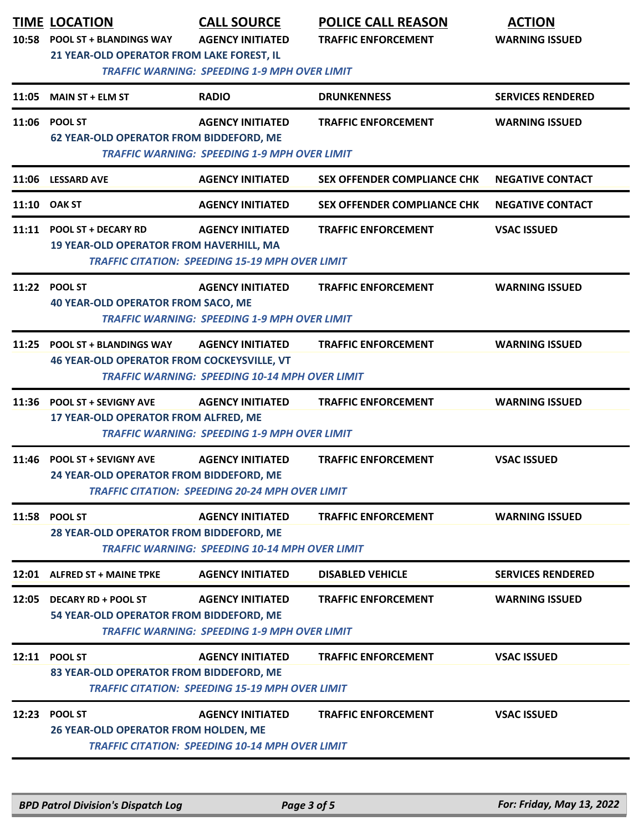|       | <b>TIME LOCATION</b><br>10:58 POOL ST + BLANDINGS WAY<br><b>21 YEAR-OLD OPERATOR FROM LAKE FOREST, IL</b> | <b>CALL SOURCE</b><br><b>AGENCY INITIATED</b>                                     | <b>POLICE CALL REASON</b><br><b>TRAFFIC ENFORCEMENT</b> | <b>ACTION</b><br><b>WARNING ISSUED</b> |
|-------|-----------------------------------------------------------------------------------------------------------|-----------------------------------------------------------------------------------|---------------------------------------------------------|----------------------------------------|
|       |                                                                                                           | <b>TRAFFIC WARNING: SPEEDING 1-9 MPH OVER LIMIT</b>                               |                                                         |                                        |
| 11:05 | <b>MAIN ST + ELM ST</b>                                                                                   | <b>RADIO</b>                                                                      | <b>DRUNKENNESS</b>                                      | <b>SERVICES RENDERED</b>               |
|       | 11:06 POOL ST<br><b>62 YEAR-OLD OPERATOR FROM BIDDEFORD, ME</b>                                           | <b>AGENCY INITIATED</b><br><b>TRAFFIC WARNING: SPEEDING 1-9 MPH OVER LIMIT</b>    | <b>TRAFFIC ENFORCEMENT</b>                              | <b>WARNING ISSUED</b>                  |
|       | 11:06 LESSARD AVE                                                                                         | <b>AGENCY INITIATED</b>                                                           | <b>SEX OFFENDER COMPLIANCE CHK</b>                      | <b>NEGATIVE CONTACT</b>                |
|       | 11:10 OAK ST                                                                                              | <b>AGENCY INITIATED</b>                                                           | <b>SEX OFFENDER COMPLIANCE CHK</b>                      | <b>NEGATIVE CONTACT</b>                |
|       | 11:11 POOL ST + DECARY RD<br><b>19 YEAR-OLD OPERATOR FROM HAVERHILL, MA</b>                               | <b>AGENCY INITIATED</b><br><b>TRAFFIC CITATION: SPEEDING 15-19 MPH OVER LIMIT</b> | <b>TRAFFIC ENFORCEMENT</b>                              | <b>VSAC ISSUED</b>                     |
| 11:22 | <b>POOL ST</b><br><b>40 YEAR-OLD OPERATOR FROM SACO, ME</b>                                               | <b>AGENCY INITIATED</b><br><b>TRAFFIC WARNING: SPEEDING 1-9 MPH OVER LIMIT</b>    | <b>TRAFFIC ENFORCEMENT</b>                              | <b>WARNING ISSUED</b>                  |
| 11:25 | <b>POOL ST + BLANDINGS WAY</b><br><b>46 YEAR-OLD OPERATOR FROM COCKEYSVILLE, VT</b>                       | <b>AGENCY INITIATED</b><br><b>TRAFFIC WARNING: SPEEDING 10-14 MPH OVER LIMIT</b>  | <b>TRAFFIC ENFORCEMENT</b>                              | <b>WARNING ISSUED</b>                  |
| 11:36 | <b>POOL ST + SEVIGNY AVE</b><br>17 YEAR-OLD OPERATOR FROM ALFRED, ME                                      | <b>AGENCY INITIATED</b><br><b>TRAFFIC WARNING: SPEEDING 1-9 MPH OVER LIMIT</b>    | <b>TRAFFIC ENFORCEMENT</b>                              | <b>WARNING ISSUED</b>                  |
| 11:46 | <b>POOL ST + SEVIGNY AVE</b><br>24 YEAR-OLD OPERATOR FROM BIDDEFORD, ME                                   | <b>AGENCY INITIATED</b><br><b>TRAFFIC CITATION: SPEEDING 20-24 MPH OVER LIMIT</b> | <b>TRAFFIC ENFORCEMENT</b>                              | <b>VSAC ISSUED</b>                     |
|       | 11:58 POOL ST<br>28 YEAR-OLD OPERATOR FROM BIDDEFORD, ME                                                  | <b>AGENCY INITIATED</b><br><b>TRAFFIC WARNING: SPEEDING 10-14 MPH OVER LIMIT</b>  | <b>TRAFFIC ENFORCEMENT</b>                              | <b>WARNING ISSUED</b>                  |
|       | 12:01 ALFRED ST + MAINE TPKE                                                                              | <b>AGENCY INITIATED</b>                                                           | <b>DISABLED VEHICLE</b>                                 | <b>SERVICES RENDERED</b>               |
|       | 12:05 DECARY RD + POOL ST<br>54 YEAR-OLD OPERATOR FROM BIDDEFORD, ME                                      | <b>AGENCY INITIATED</b><br><b>TRAFFIC WARNING: SPEEDING 1-9 MPH OVER LIMIT</b>    | <b>TRAFFIC ENFORCEMENT</b>                              | <b>WARNING ISSUED</b>                  |
|       | 12:11 POOL ST<br>83 YEAR-OLD OPERATOR FROM BIDDEFORD, ME                                                  | <b>AGENCY INITIATED</b><br><b>TRAFFIC CITATION: SPEEDING 15-19 MPH OVER LIMIT</b> | <b>TRAFFIC ENFORCEMENT</b>                              | <b>VSAC ISSUED</b>                     |
|       | 12:23 POOL ST<br>26 YEAR-OLD OPERATOR FROM HOLDEN, ME                                                     | <b>AGENCY INITIATED</b><br><b>TRAFFIC CITATION: SPEEDING 10-14 MPH OVER LIMIT</b> | <b>TRAFFIC ENFORCEMENT</b>                              | <b>VSAC ISSUED</b>                     |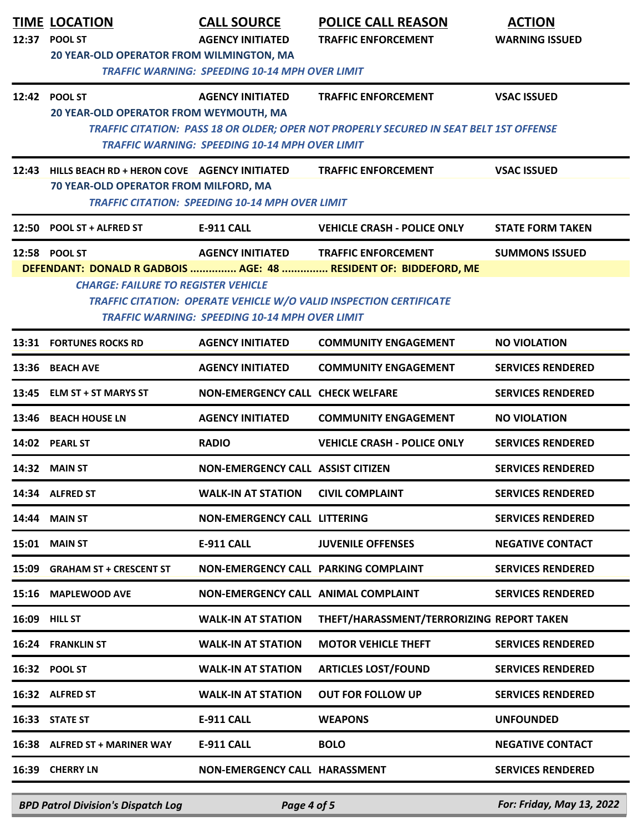| 12:37 | <b>TIME LOCATION</b><br>POOL ST                                                                                                                                                                                                                                                                                                                         | <b>CALL SOURCE</b><br><b>AGENCY INITIATED</b>                                                                   | <b>POLICE CALL REASON</b><br><b>TRAFFIC ENFORCEMENT</b>                                                              | <b>ACTION</b><br><b>WARNING ISSUED</b> |  |
|-------|---------------------------------------------------------------------------------------------------------------------------------------------------------------------------------------------------------------------------------------------------------------------------------------------------------------------------------------------------------|-----------------------------------------------------------------------------------------------------------------|----------------------------------------------------------------------------------------------------------------------|----------------------------------------|--|
|       | 20 YEAR-OLD OPERATOR FROM WILMINGTON, MA                                                                                                                                                                                                                                                                                                                | <b>TRAFFIC WARNING: SPEEDING 10-14 MPH OVER LIMIT</b>                                                           |                                                                                                                      |                                        |  |
|       | 12:42 POOL ST<br>20 YEAR-OLD OPERATOR FROM WEYMOUTH, MA                                                                                                                                                                                                                                                                                                 | <b>AGENCY INITIATED</b>                                                                                         | <b>TRAFFIC ENFORCEMENT</b><br>TRAFFIC CITATION: PASS 18 OR OLDER; OPER NOT PROPERLY SECURED IN SEAT BELT 1ST OFFENSE | <b>VSAC ISSUED</b>                     |  |
| 12:43 | HILLS BEACH RD + HERON COVE AGENCY INITIATED<br>70 YEAR-OLD OPERATOR FROM MILFORD, MA                                                                                                                                                                                                                                                                   | <b>TRAFFIC WARNING: SPEEDING 10-14 MPH OVER LIMIT</b><br><b>TRAFFIC CITATION: SPEEDING 10-14 MPH OVER LIMIT</b> | <b>TRAFFIC ENFORCEMENT</b>                                                                                           | <b>VSAC ISSUED</b>                     |  |
| 12:50 | <b>POOL ST + ALFRED ST</b>                                                                                                                                                                                                                                                                                                                              | <b>E-911 CALL</b>                                                                                               | <b>VEHICLE CRASH - POLICE ONLY</b>                                                                                   | <b>STATE FORM TAKEN</b>                |  |
|       | 12:58 POOL ST<br><b>AGENCY INITIATED</b><br><b>TRAFFIC ENFORCEMENT</b><br><b>SUMMONS ISSUED</b><br>DEFENDANT: DONALD R GADBOIS  AGE: 48  RESIDENT OF: BIDDEFORD, ME<br><b>CHARGE: FAILURE TO REGISTER VEHICLE</b><br><b>TRAFFIC CITATION: OPERATE VEHICLE W/O VALID INSPECTION CERTIFICATE</b><br><b>TRAFFIC WARNING: SPEEDING 10-14 MPH OVER LIMIT</b> |                                                                                                                 |                                                                                                                      |                                        |  |
|       | <b>13:31 FORTUNES ROCKS RD</b>                                                                                                                                                                                                                                                                                                                          | <b>AGENCY INITIATED</b>                                                                                         | <b>COMMUNITY ENGAGEMENT</b>                                                                                          | <b>NO VIOLATION</b>                    |  |
|       | 13:36 BEACH AVE                                                                                                                                                                                                                                                                                                                                         | <b>AGENCY INITIATED</b>                                                                                         | <b>COMMUNITY ENGAGEMENT</b>                                                                                          | <b>SERVICES RENDERED</b>               |  |
|       | 13:45 ELM ST + ST MARYS ST                                                                                                                                                                                                                                                                                                                              | <b>NON-EMERGENCY CALL CHECK WELFARE</b>                                                                         |                                                                                                                      | <b>SERVICES RENDERED</b>               |  |
|       | 13:46 BEACH HOUSE LN                                                                                                                                                                                                                                                                                                                                    | <b>AGENCY INITIATED</b>                                                                                         | <b>COMMUNITY ENGAGEMENT</b>                                                                                          | <b>NO VIOLATION</b>                    |  |
|       | 14:02 PEARL ST                                                                                                                                                                                                                                                                                                                                          | <b>RADIO</b>                                                                                                    | <b>VEHICLE CRASH - POLICE ONLY</b>                                                                                   | <b>SERVICES RENDERED</b>               |  |
|       | 14:32 MAIN ST                                                                                                                                                                                                                                                                                                                                           | <b>NON-EMERGENCY CALL ASSIST CITIZEN</b>                                                                        |                                                                                                                      | <b>SERVICES RENDERED</b>               |  |
|       | 14:34 ALFRED ST                                                                                                                                                                                                                                                                                                                                         | <b>WALK-IN AT STATION</b>                                                                                       | <b>CIVIL COMPLAINT</b>                                                                                               | <b>SERVICES RENDERED</b>               |  |
|       | 14:44 MAIN ST                                                                                                                                                                                                                                                                                                                                           | <b>NON-EMERGENCY CALL LITTERING</b>                                                                             |                                                                                                                      | <b>SERVICES RENDERED</b>               |  |
| 15:01 | <b>MAIN ST</b>                                                                                                                                                                                                                                                                                                                                          | E-911 CALL                                                                                                      | <b>JUVENILE OFFENSES</b>                                                                                             | <b>NEGATIVE CONTACT</b>                |  |
| 15:09 | <b>GRAHAM ST + CRESCENT ST</b>                                                                                                                                                                                                                                                                                                                          | NON-EMERGENCY CALL PARKING COMPLAINT                                                                            |                                                                                                                      | <b>SERVICES RENDERED</b>               |  |
|       | 15:16 MAPLEWOOD AVE                                                                                                                                                                                                                                                                                                                                     | NON-EMERGENCY CALL ANIMAL COMPLAINT                                                                             |                                                                                                                      | <b>SERVICES RENDERED</b>               |  |
|       | 16:09 HILL ST                                                                                                                                                                                                                                                                                                                                           | <b>WALK-IN AT STATION</b>                                                                                       | THEFT/HARASSMENT/TERRORIZING REPORT TAKEN                                                                            |                                        |  |
|       | 16:24 FRANKLIN ST                                                                                                                                                                                                                                                                                                                                       | <b>WALK-IN AT STATION</b>                                                                                       | <b>MOTOR VEHICLE THEFT</b>                                                                                           | <b>SERVICES RENDERED</b>               |  |
|       | 16:32 POOL ST                                                                                                                                                                                                                                                                                                                                           | <b>WALK-IN AT STATION</b>                                                                                       | <b>ARTICLES LOST/FOUND</b>                                                                                           | <b>SERVICES RENDERED</b>               |  |
|       | 16:32 ALFRED ST                                                                                                                                                                                                                                                                                                                                         | <b>WALK-IN AT STATION</b>                                                                                       | <b>OUT FOR FOLLOW UP</b>                                                                                             | <b>SERVICES RENDERED</b>               |  |
|       | 16:33 STATE ST                                                                                                                                                                                                                                                                                                                                          | <b>E-911 CALL</b>                                                                                               | <b>WEAPONS</b>                                                                                                       | <b>UNFOUNDED</b>                       |  |
|       | 16:38 ALFRED ST + MARINER WAY                                                                                                                                                                                                                                                                                                                           | <b>E-911 CALL</b>                                                                                               | <b>BOLO</b>                                                                                                          | <b>NEGATIVE CONTACT</b>                |  |
| 16:39 | <b>CHERRY LN</b>                                                                                                                                                                                                                                                                                                                                        | NON-EMERGENCY CALL HARASSMENT                                                                                   |                                                                                                                      | <b>SERVICES RENDERED</b>               |  |

*BPD Patrol Division's Dispatch Log Page 4 of 5 For: Friday, May 13, 2022*